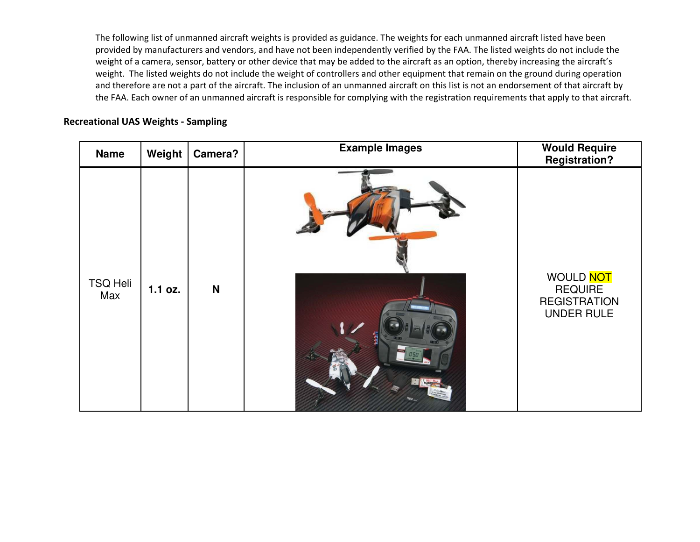## **Recreational UAS Weights - Sampling**

| <b>Name</b>            | Weight  | Camera?     | <b>Example Images</b> | <b>Would Require</b><br><b>Registration?</b>                                   |
|------------------------|---------|-------------|-----------------------|--------------------------------------------------------------------------------|
| <b>TSQ Heli</b><br>Max | 1.1 oz. | $\mathbf N$ |                       | <b>WOULD NOT</b><br><b>REQUIRE</b><br><b>REGISTRATION</b><br><b>UNDER RULE</b> |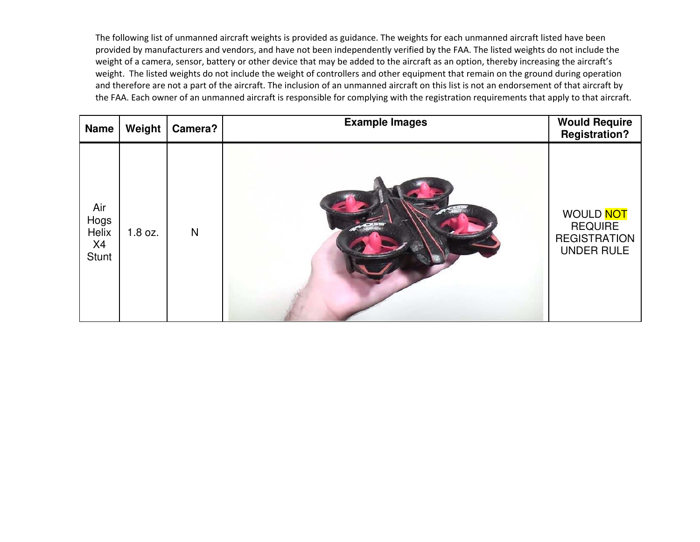| <b>Name</b>                         | Weight  | Camera?      | <b>Example Images</b> | <b>Would Require</b><br><b>Registration?</b>                                   |
|-------------------------------------|---------|--------------|-----------------------|--------------------------------------------------------------------------------|
| Air<br>Hogs<br>Helix<br>X4<br>Stunt | 1.8 oz. | $\mathsf{N}$ |                       | <b>WOULD NOT</b><br><b>REQUIRE</b><br><b>REGISTRATION</b><br><b>UNDER RULE</b> |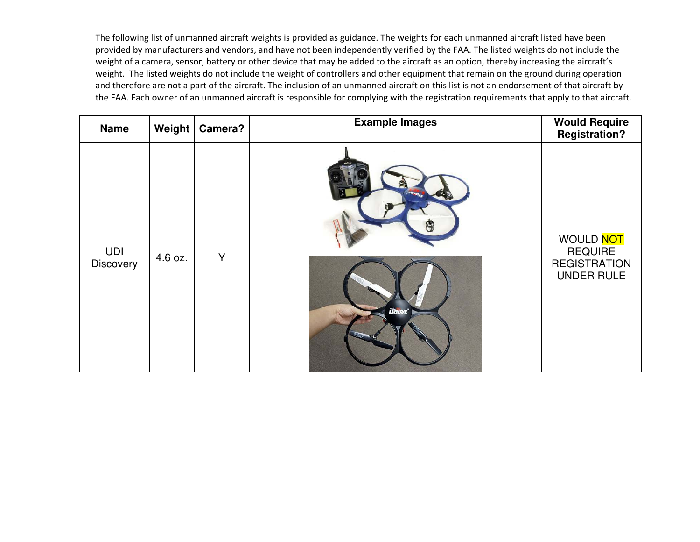| <b>Name</b>             | Weight  | Camera? | <b>Example Images</b> | <b>Would Require</b><br><b>Registration?</b>                                   |
|-------------------------|---------|---------|-----------------------|--------------------------------------------------------------------------------|
| <b>UDI</b><br>Discovery | 4.6 oz. | Y       | <b><u>ŭana</u></b>    | <b>WOULD NOT</b><br><b>REQUIRE</b><br><b>REGISTRATION</b><br><b>UNDER RULE</b> |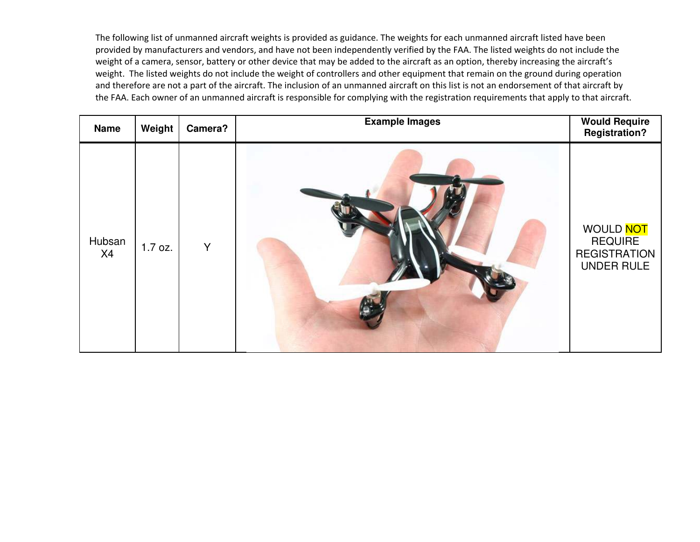| <b>Name</b>  | Weight  | Camera? | <b>Example Images</b> | <b>Would Require</b><br><b>Registration?</b>                                   |
|--------------|---------|---------|-----------------------|--------------------------------------------------------------------------------|
| Hubsan<br>X4 | 1.7 oz. | Y       |                       | <b>WOULD NOT</b><br><b>REQUIRE</b><br><b>REGISTRATION</b><br><b>UNDER RULE</b> |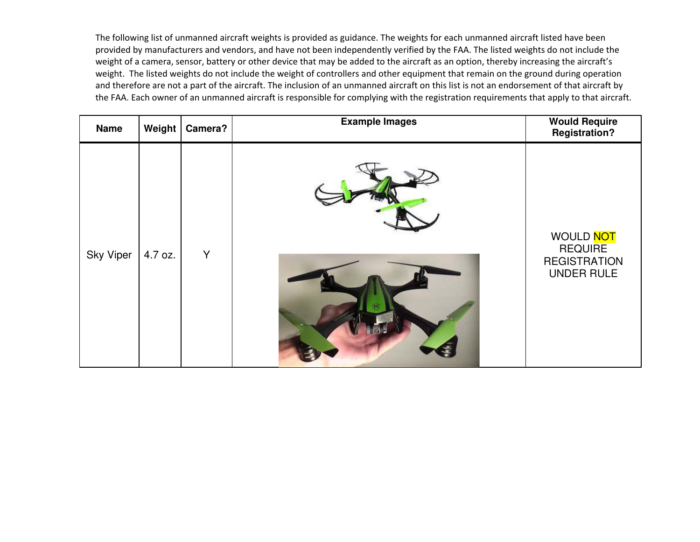| <b>Name</b>      | <b>Weight</b> | Camera? | <b>Example Images</b> | <b>Would Require</b><br><b>Registration?</b>                                   |
|------------------|---------------|---------|-----------------------|--------------------------------------------------------------------------------|
| <b>Sky Viper</b> | 4.7 oz.       | Y       |                       | <b>WOULD NOT</b><br><b>REQUIRE</b><br><b>REGISTRATION</b><br><b>UNDER RULE</b> |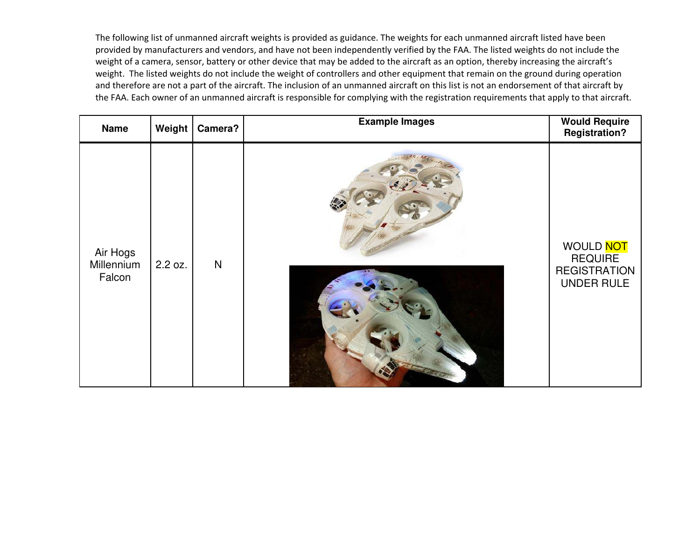| <b>Name</b>                      | Weight  | Camera?                 | <b>Example Images</b> | <b>Would Require</b><br><b>Registration?</b>                                   |
|----------------------------------|---------|-------------------------|-----------------------|--------------------------------------------------------------------------------|
| Air Hogs<br>Millennium<br>Falcon | 2.2 oz. | $\overline{\mathsf{N}}$ |                       | <b>WOULD NOT</b><br><b>REQUIRE</b><br><b>REGISTRATION</b><br><b>UNDER RULE</b> |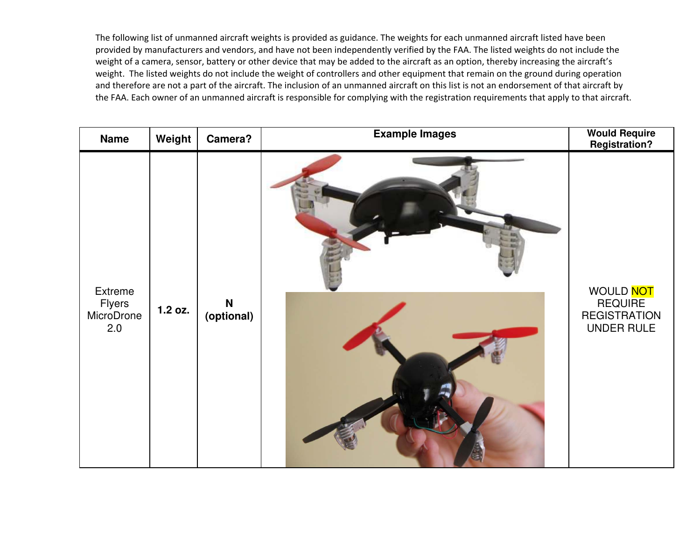| <b>Name</b>                            | Weight  | Camera?                   | <b>Example Images</b> | <b>Would Require</b><br>Registration?                                   |
|----------------------------------------|---------|---------------------------|-----------------------|-------------------------------------------------------------------------|
| Extreme<br>Flyers<br>MicroDrone<br>2.0 | 1.2 oz. | $\mathbf N$<br>(optional) |                       | <b>WOULD NOT</b><br><b>REQUIRE</b><br><b>REGISTRATION</b><br>UNDER RULE |
|                                        |         |                           |                       |                                                                         |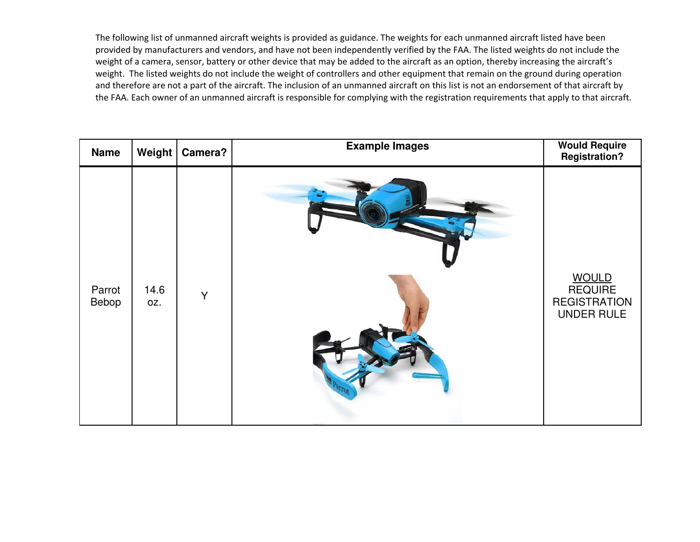| <b>Name</b>     | Weight      | Camera? | <b>Example Images</b> | <b>Would Require</b><br><b>Registration?</b>                               |
|-----------------|-------------|---------|-----------------------|----------------------------------------------------------------------------|
| Parrot<br>Bebop | 14.6<br>OZ. | Y       |                       | <b>WOULD</b><br><b>REQUIRE</b><br><b>REGISTRATION</b><br><b>UNDER RULE</b> |
|                 |             |         |                       |                                                                            |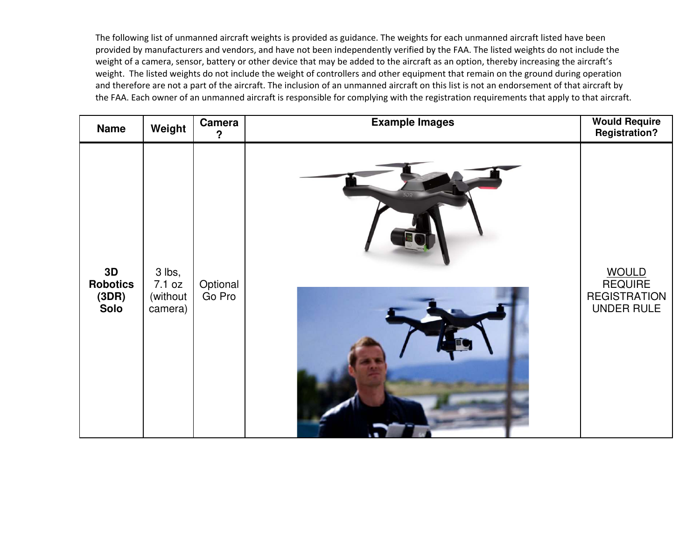| <b>Name</b>                            | Weight                                  | Camera<br>?        | <b>Example Images</b> | <b>Would Require</b><br>Registration?                                      |
|----------------------------------------|-----------------------------------------|--------------------|-----------------------|----------------------------------------------------------------------------|
| 3D<br><b>Robotics</b><br>(3DR)<br>Solo | 3 lbs,<br>7.1 oz<br>(without<br>camera) | Optional<br>Go Pro |                       | <b>WOULD</b><br><b>REQUIRE</b><br><b>REGISTRATION</b><br><b>UNDER RULE</b> |